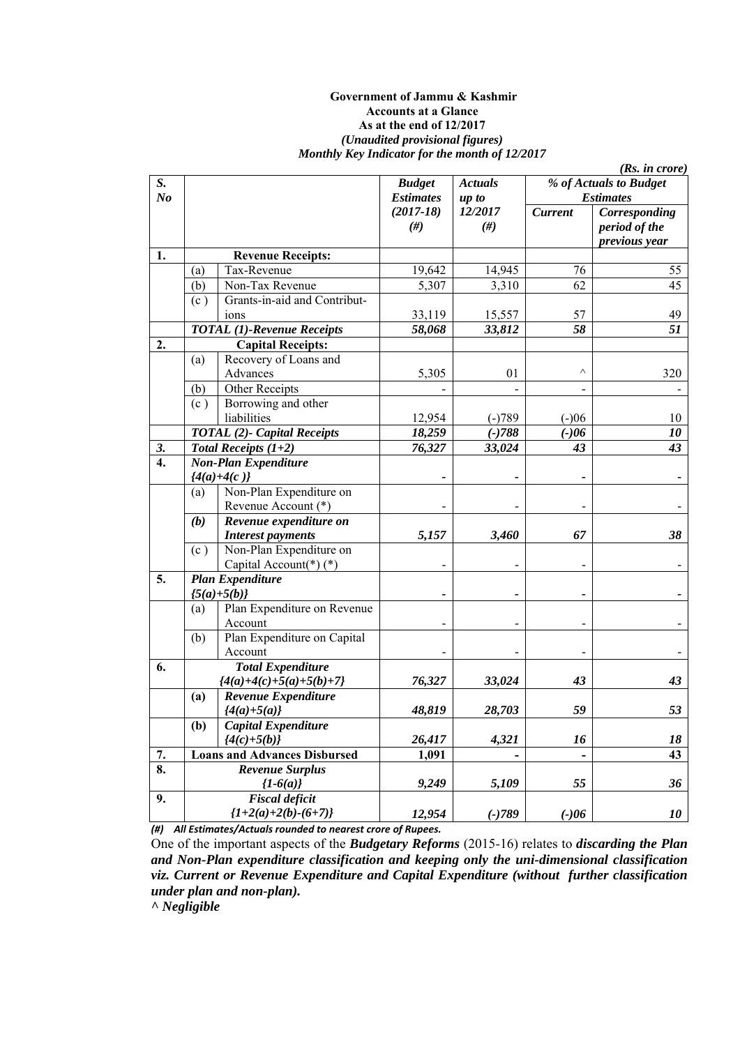#### **Government of Jammu & Kashmir Accounts at a Glance As at the end of 12/2017**  *(Unaudited provisional figures) Monthly Key Indicator for the month of 12/2017*

|                      |     |                                     |                                   |                         |                | (Rs. in <i>core</i> )                           |
|----------------------|-----|-------------------------------------|-----------------------------------|-------------------------|----------------|-------------------------------------------------|
| S.<br>N <sub>o</sub> |     |                                     | <b>Budget</b><br><b>Estimates</b> | <b>Actuals</b><br>up to |                | % of Actuals to Budget<br><b>Estimates</b>      |
|                      |     |                                     | $(2017-18)$<br>#)                 | 12/2017<br>$(\#)$       | <b>Current</b> | Corresponding<br>period of the<br>previous year |
| 1.                   |     | <b>Revenue Receipts:</b>            |                                   |                         |                |                                                 |
|                      | (a) | Tax-Revenue                         | 19,642                            | 14,945                  | 76             | 55                                              |
|                      | (b) | Non-Tax Revenue                     | 5,307                             | 3,310                   | 62             | 45                                              |
|                      | (c) | Grants-in-aid and Contribut-        |                                   |                         |                |                                                 |
|                      |     | ions                                | 33,119                            | 15,557                  | 57             | 49                                              |
|                      |     | <b>TOTAL</b> (1)-Revenue Receipts   | 58,068                            | 33,812                  | 58             | 51                                              |
| 2.                   |     | <b>Capital Receipts:</b>            |                                   |                         |                |                                                 |
|                      | (a) | Recovery of Loans and               |                                   |                         |                |                                                 |
|                      |     | Advances                            | 5,305                             | 01                      | Λ              | 320                                             |
|                      | (b) | Other Receipts                      |                                   |                         |                |                                                 |
|                      | (c) | Borrowing and other                 |                                   |                         |                |                                                 |
|                      |     | liabilities                         | 12,954                            | $(-)789$                | $(-)06$        | 10                                              |
|                      |     | <b>TOTAL</b> (2)- Capital Receipts  | 18,259                            | $(-)788$                | $(-)06$        | 10                                              |
| 3.                   |     | Total Receipts $(1+2)$              | 76,327                            | 33,024                  | 43             | 43                                              |
| $\overline{4}$ .     |     | <b>Non-Plan Expenditure</b>         |                                   |                         |                |                                                 |
|                      |     | ${4(a)+4(c)}$                       |                                   |                         |                |                                                 |
|                      | (a) | Non-Plan Expenditure on             |                                   |                         |                |                                                 |
|                      |     | Revenue Account (*)                 |                                   |                         |                |                                                 |
|                      | (b) | Revenue expenditure on              |                                   |                         |                |                                                 |
|                      |     | <b>Interest payments</b>            | 5,157                             | 3,460                   | 67             | 38                                              |
|                      | (c) | Non-Plan Expenditure on             |                                   |                         |                |                                                 |
|                      |     | Capital Account(*) $(*)$            |                                   |                         |                |                                                 |
| 5.                   |     | <b>Plan Expenditure</b>             |                                   |                         |                |                                                 |
|                      |     | ${5(a)+5(b)}$                       |                                   |                         |                |                                                 |
|                      | (a) | Plan Expenditure on Revenue         |                                   |                         |                |                                                 |
|                      |     | Account                             |                                   |                         |                |                                                 |
|                      | (b) | Plan Expenditure on Capital         |                                   |                         |                |                                                 |
|                      |     | Account                             |                                   |                         |                |                                                 |
| 6.                   |     | <b>Total Expenditure</b>            |                                   |                         |                |                                                 |
|                      |     | ${4(a)+4(c)+5(a)+5(b)+7}$           | 76,327                            | 33,024                  | 43             | 43                                              |
|                      | (a) | Revenue Expenditure                 |                                   |                         |                |                                                 |
|                      |     | ${4(a)+5(a)}$                       | 48,819                            | 28,703                  | 59             | 53                                              |
|                      | (b) | <b>Capital Expenditure</b>          |                                   |                         |                |                                                 |
|                      |     | ${4(c)+5(b)}$                       | 26,417                            | 4,321                   | 16             | 18                                              |
| 7.                   |     | <b>Loans and Advances Disbursed</b> | 1,091                             |                         |                | 43                                              |
| 8.                   |     | <b>Revenue Surplus</b>              |                                   |                         |                |                                                 |
|                      |     | ${1-6(a)}$                          | 9,249                             | 5,109                   | 55             | 36                                              |
| 9.                   |     | <b>Fiscal deficit</b>               |                                   |                         |                |                                                 |
|                      |     | ${1+2(a)+2(b)-(6+7)}$               | 12,954                            | $(-)789$                | $(-)06$        | 10                                              |

*(#) All Estimates/Actuals rounded to nearest crore of Rupees.*

One of the important aspects of the *Budgetary Reforms* (2015-16) relates to *discarding the Plan and Non-Plan expenditure classification and keeping only the uni-dimensional classification viz. Current or Revenue Expenditure and Capital Expenditure (without further classification under plan and non-plan).* 

*^ Negligible*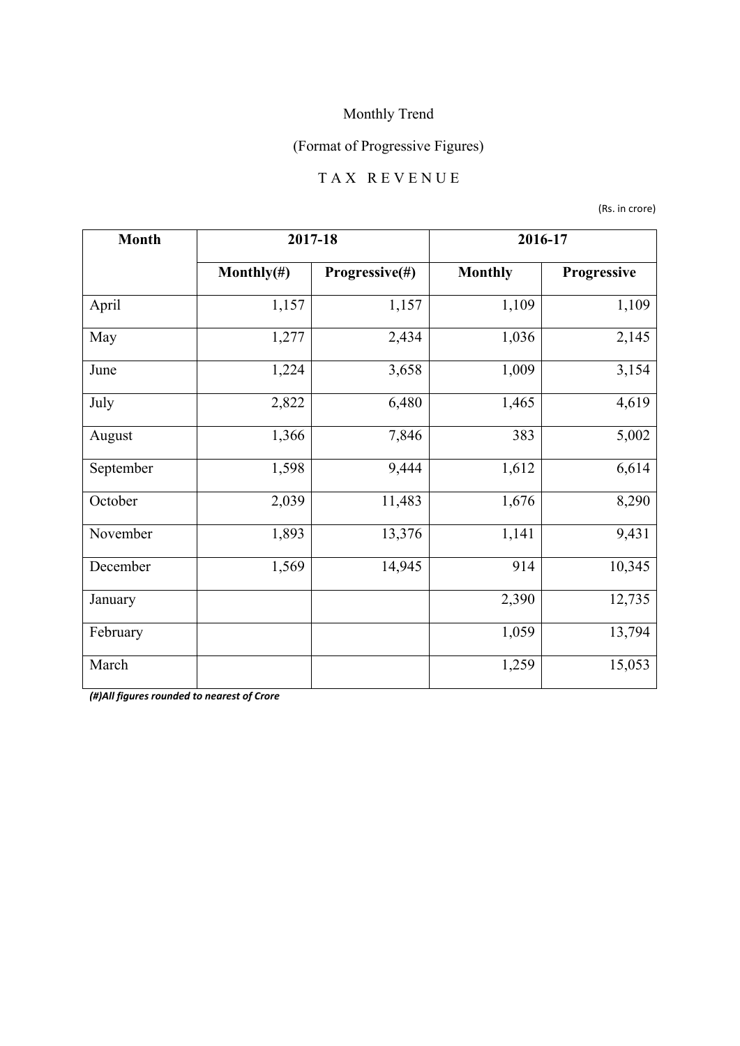## (Format of Progressive Figures)

## T A X R E V E N U E

(Rs. in crore)

| <b>Month</b> | 2017-18        |                |                | 2016-17     |
|--------------|----------------|----------------|----------------|-------------|
|              | Monthly $(\#)$ | Progressive(#) | <b>Monthly</b> | Progressive |
| April        | 1,157          | 1,157          | 1,109          | 1,109       |
| May          | 1,277          | 2,434          | 1,036          | 2,145       |
| June         | 1,224          | 3,658          | 1,009          | 3,154       |
| July         | 2,822          | 6,480          | 1,465          | 4,619       |
| August       | 1,366          | 7,846          | 383            | 5,002       |
| September    | 1,598          | 9,444          | 1,612          | 6,614       |
| October      | 2,039          | 11,483         | 1,676          | 8,290       |
| November     | 1,893          | 13,376         | 1,141          | 9,431       |
| December     | 1,569          | 14,945         | 914            | 10,345      |
| January      |                |                | 2,390          | 12,735      |
| February     |                |                | 1,059          | 13,794      |
| March        |                |                | 1,259          | 15,053      |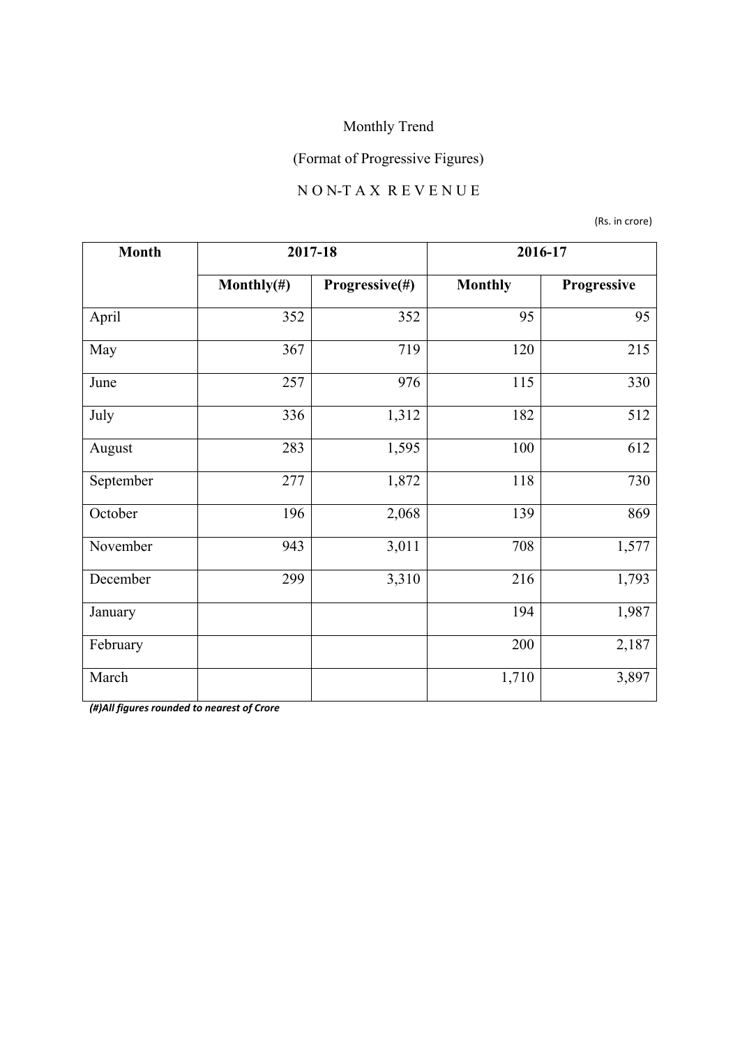# (Format of Progressive Figures)

#### N O N-T A X R E V E N U E

(Rs. in crore)

| <b>Month</b> | 2017-18        |                |                | 2016-17     |
|--------------|----------------|----------------|----------------|-------------|
|              | Monthly $(\#)$ | Progressive(#) | <b>Monthly</b> | Progressive |
| April        | 352            | 352            | 95             | 95          |
| May          | 367            | 719            | 120            | 215         |
| June         | 257            | 976            | 115            | 330         |
| July         | 336            | 1,312          | 182            | 512         |
| August       | 283            | 1,595          | 100            | 612         |
| September    | 277            | 1,872          | 118            | 730         |
| October      | 196            | 2,068          | 139            | 869         |
| November     | 943            | 3,011          | 708            | 1,577       |
| December     | 299            | 3,310          | 216            | 1,793       |
| January      |                |                | 194            | 1,987       |
| February     |                |                | 200            | 2,187       |
| March        |                |                | 1,710          | 3,897       |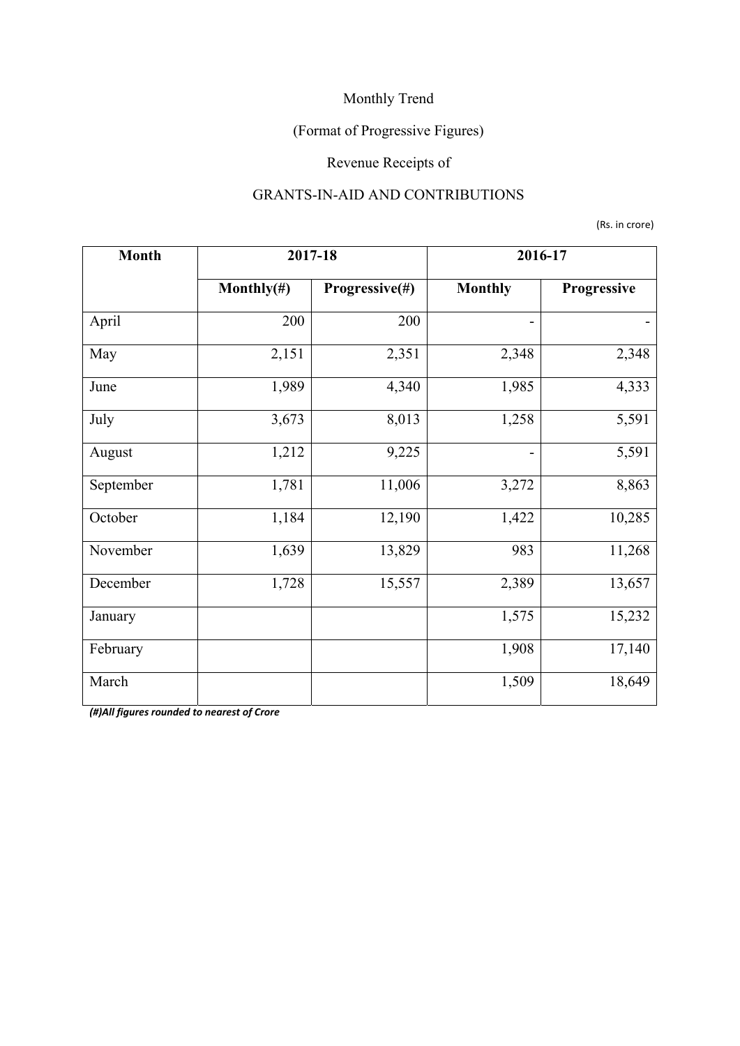## (Format of Progressive Figures)

## Revenue Receipts of

#### GRANTS-IN-AID AND CONTRIBUTIONS

(Rs. in crore)

| <b>Month</b> | 2017-18        |                |                | 2016-17     |
|--------------|----------------|----------------|----------------|-------------|
|              | Monthly $(\#)$ | Progressive(#) | <b>Monthly</b> | Progressive |
| April        | 200            | 200            | $\overline{a}$ |             |
| May          | 2,151          | 2,351          | 2,348          | 2,348       |
| June         | 1,989          | 4,340          | 1,985          | 4,333       |
| July         | 3,673          | 8,013          | 1,258          | 5,591       |
| August       | 1,212          | 9,225          |                | 5,591       |
| September    | 1,781          | 11,006         | 3,272          | 8,863       |
| October      | 1,184          | 12,190         | 1,422          | 10,285      |
| November     | 1,639          | 13,829         | 983            | 11,268      |
| December     | 1,728          | 15,557         | 2,389          | 13,657      |
| January      |                |                | 1,575          | 15,232      |
| February     |                |                | 1,908          | 17,140      |
| March        |                |                | 1,509          | 18,649      |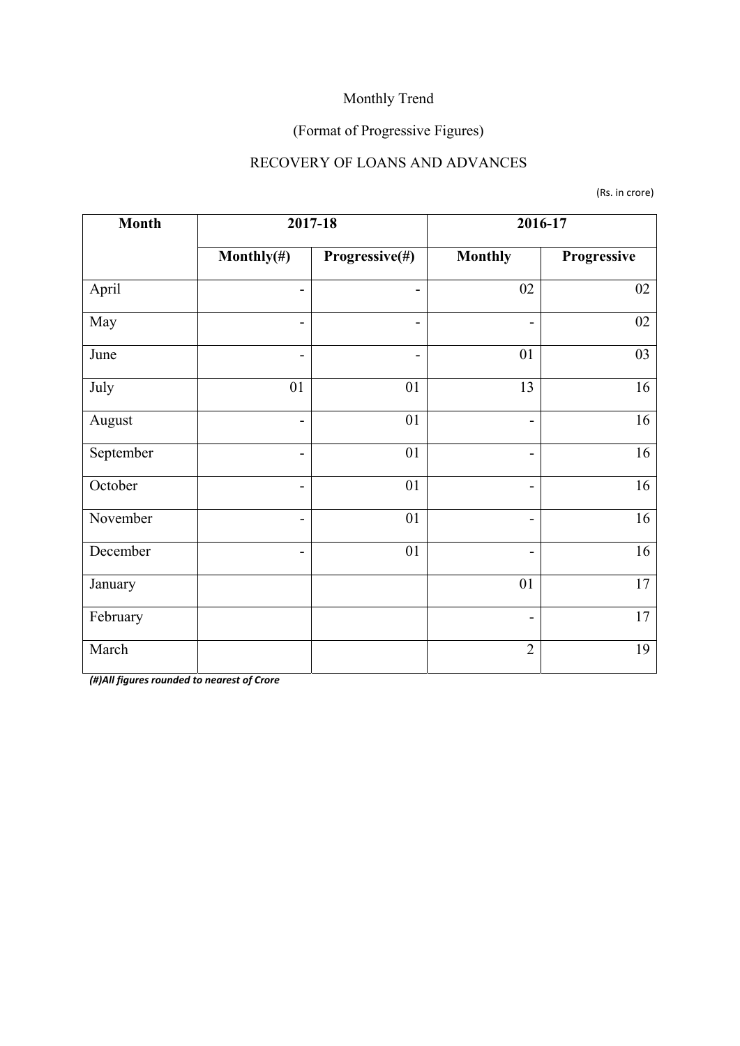## (Format of Progressive Figures)

### RECOVERY OF LOANS AND ADVANCES

(Rs. in crore)

| <b>Month</b> | 2017-18        |                          |                              | 2016-17     |
|--------------|----------------|--------------------------|------------------------------|-------------|
|              | Monthly $(\#)$ | Progressive(#)           | <b>Monthly</b>               | Progressive |
| April        | $\overline{a}$ | -                        | 02                           | 02          |
| May          | $\overline{a}$ | -                        | $\blacksquare$               | 02          |
| June         | -              | $\overline{\phantom{0}}$ | 01                           | 03          |
| July         | 01             | 01                       | 13                           | 16          |
| August       | -              | 01                       | $\overline{\phantom{a}}$     | 16          |
| September    | $\overline{a}$ | 01                       | $\overline{\phantom{0}}$     | 16          |
| October      | -              | 01                       | $\overline{\phantom{a}}$     | 16          |
| November     | -              | 01                       | $\overline{\phantom{a}}$     | 16          |
| December     | -              | 01                       | $\qquad \qquad \blacksquare$ | 16          |
| January      |                |                          | 01                           | 17          |
| February     |                |                          | $\qquad \qquad \blacksquare$ | 17          |
| March        |                |                          | $\overline{2}$               | 19          |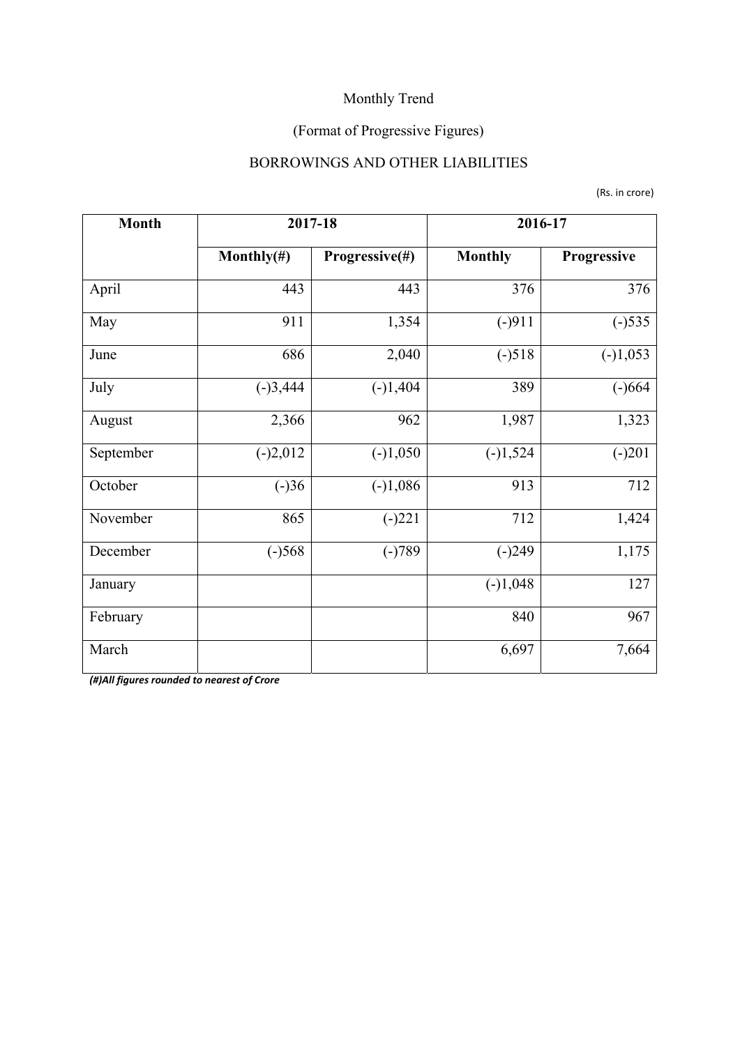## (Format of Progressive Figures)

### BORROWINGS AND OTHER LIABILITIES

(Rs. in crore)

| <b>Month</b> | 2017-18        |                | 2016-17        |             |
|--------------|----------------|----------------|----------------|-------------|
|              | Monthly $(\#)$ | Progressive(#) | <b>Monthly</b> | Progressive |
| April        | 443            | 443            | 376            | 376         |
| May          | 911            | 1,354          | $(-)911$       | $(-)535$    |
| June         | 686            | 2,040          | $(-)518$       | $(-)1,053$  |
| July         | $(-)3,444$     | $(-)1,404$     | 389            | $(-)664$    |
| August       | 2,366          | 962            | 1,987          | 1,323       |
| September    | $(-)2,012$     | $(-)1,050$     | $(-)1,524$     | $(-)201$    |
| October      | $(-)36$        | $(-)1,086$     | 913            | 712         |
| November     | 865            | $(-)221$       | 712            | 1,424       |
| December     | $(-)568$       | $(-)789$       | $(-)249$       | 1,175       |
| January      |                |                | $(-)1,048$     | 127         |
| February     |                |                | 840            | 967         |
| March        |                |                | 6,697          | 7,664       |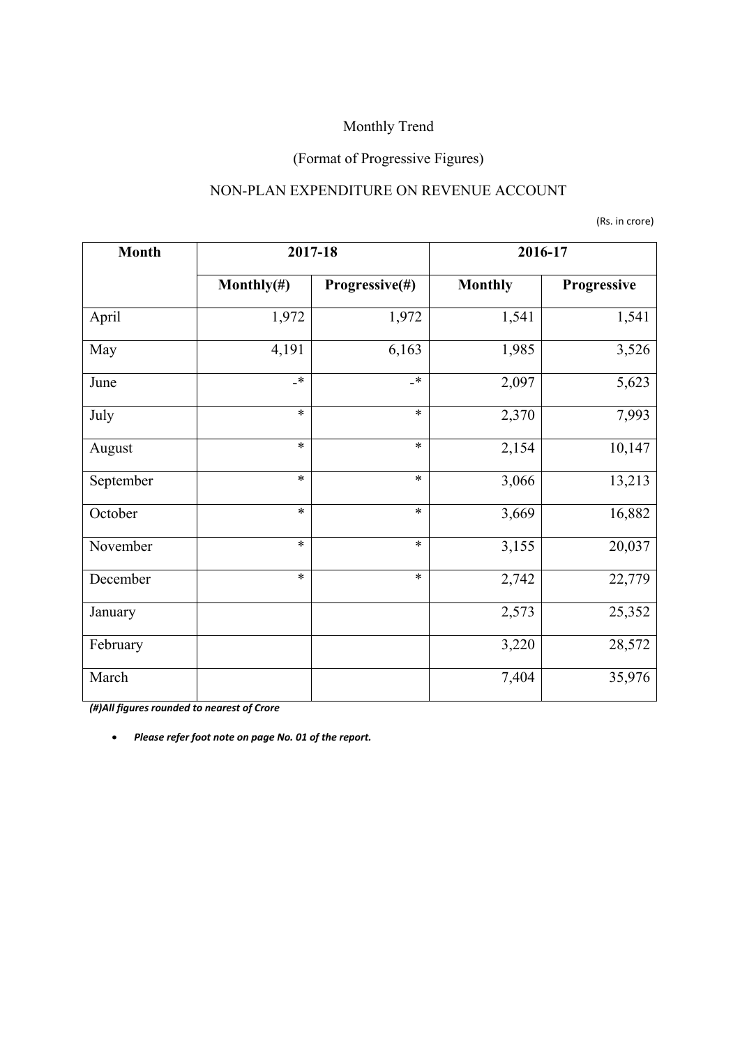#### (Format of Progressive Figures)

#### NON-PLAN EXPENDITURE ON REVENUE ACCOUNT

(Rs. in crore)

| <b>Month</b> | 2017-18        |                |                | 2016-17     |
|--------------|----------------|----------------|----------------|-------------|
|              | Monthly $(\#)$ | Progressive(#) | <b>Monthly</b> | Progressive |
| April        | 1,972          | 1,972          | 1,541          | 1,541       |
| May          | 4,191          | 6,163          | 1,985          | 3,526       |
| June         | $\cdot$        | $\cdot$        | 2,097          | 5,623       |
| July         | $\ast$         | $\ast$         | 2,370          | 7,993       |
| August       | $\ast$         | $\ast$         | 2,154          | 10,147      |
| September    | $\ast$         | $\ast$         | 3,066          | 13,213      |
| October      | $\ast$         | $\ast$         | 3,669          | 16,882      |
| November     | $\ast$         | $\ast$         | 3,155          | 20,037      |
| December     | $\ast$         | $\ast$         | 2,742          | 22,779      |
| January      |                |                | 2,573          | 25,352      |
| February     |                |                | 3,220          | 28,572      |
| March        |                |                | 7,404          | 35,976      |

*(#)All figures rounded to nearest of Crore*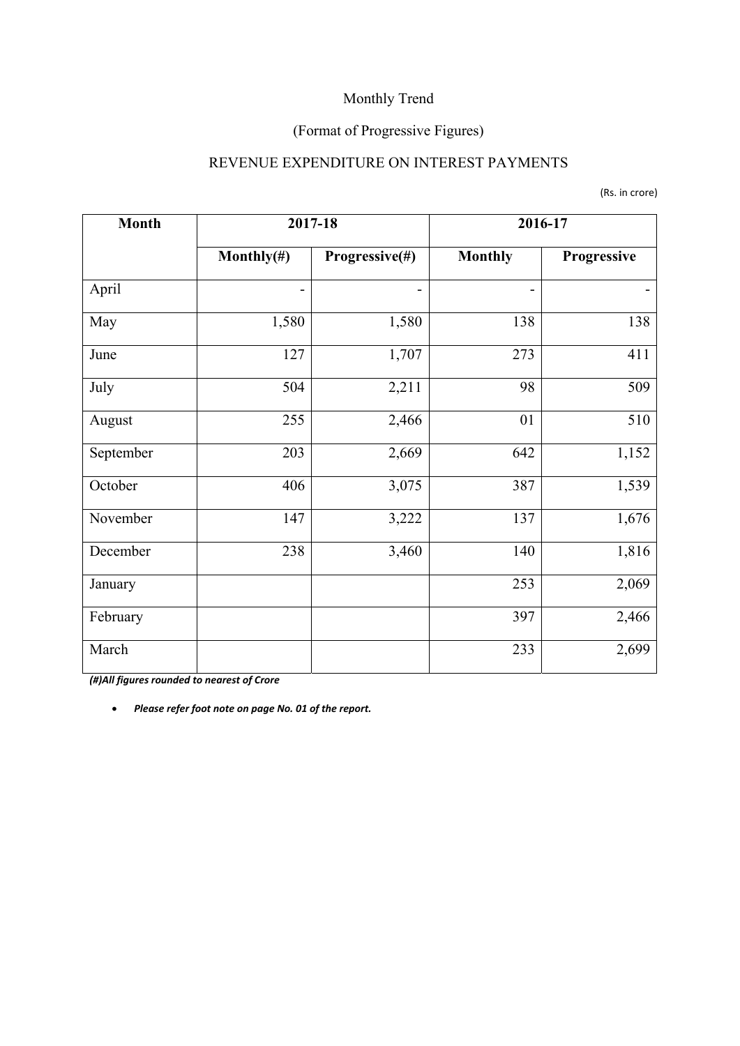#### (Format of Progressive Figures)

#### REVENUE EXPENDITURE ON INTEREST PAYMENTS

|  | (Rs. in crore) |
|--|----------------|
|--|----------------|

| <b>Month</b> | 2017-18        |                | 2016-17                      |             |
|--------------|----------------|----------------|------------------------------|-------------|
|              | Monthly $(\#)$ | Progressive(#) | <b>Monthly</b>               | Progressive |
| April        |                |                | $\qquad \qquad \blacksquare$ |             |
| May          | 1,580          | 1,580          | 138                          | 138         |
| June         | 127            | 1,707          | 273                          | 411         |
| July         | 504            | 2,211          | 98                           | 509         |
| August       | 255            | 2,466          | 01                           | 510         |
| September    | 203            | 2,669          | 642                          | 1,152       |
| October      | 406            | 3,075          | 387                          | 1,539       |
| November     | 147            | 3,222          | 137                          | 1,676       |
| December     | 238            | 3,460          | 140                          | 1,816       |
| January      |                |                | 253                          | 2,069       |
| February     |                |                | 397                          | 2,466       |
| March        |                |                | 233                          | 2,699       |

*(#)All figures rounded to nearest of Crore*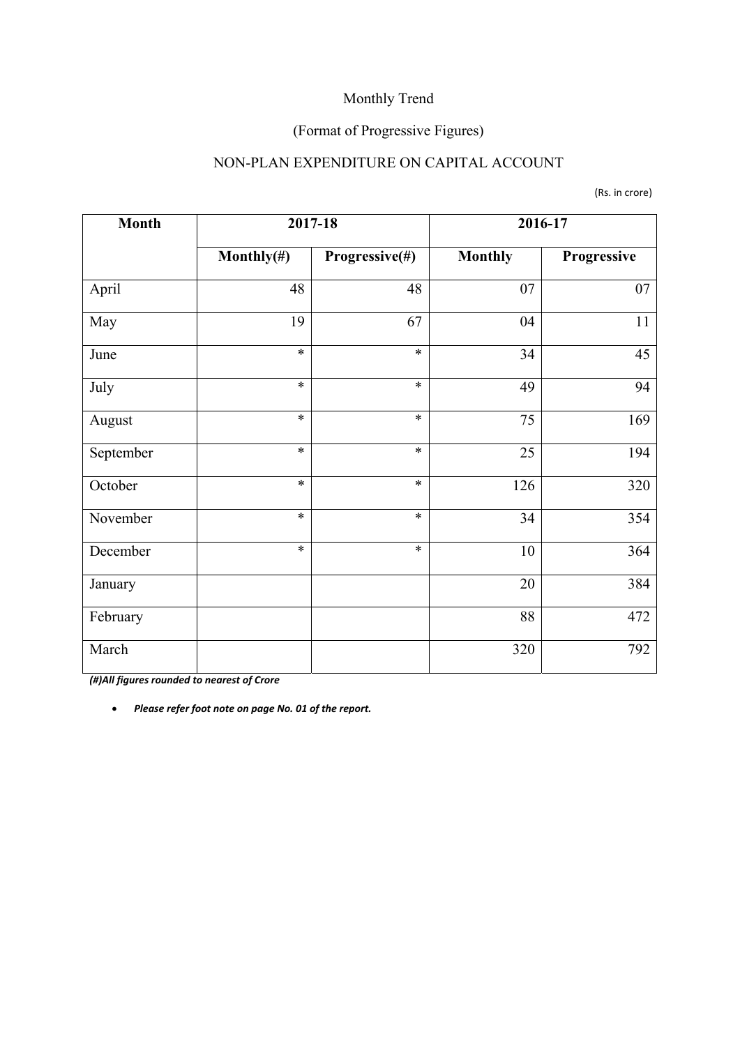#### (Format of Progressive Figures)

### NON-PLAN EXPENDITURE ON CAPITAL ACCOUNT

(Rs. in crore)

| <b>Month</b> | 2017-18        |                |                | 2016-17     |
|--------------|----------------|----------------|----------------|-------------|
|              | Monthly $(\#)$ | Progressive(#) | <b>Monthly</b> | Progressive |
| April        | 48             | 48             | 07             | 07          |
| May          | 19             | 67             | 04             | 11          |
| June         | $\ast$         | $\ast$         | 34             | 45          |
| July         | $\ast$         | $\ast$         | 49             | 94          |
| August       | $\ast$         | $\ast$         | 75             | 169         |
| September    | $\ast$         | $\ast$         | 25             | 194         |
| October      | $\ast$         | $\ast$         | 126            | 320         |
| November     | $\ast$         | $\ast$         | 34             | 354         |
| December     | $\ast$         | $\ast$         | 10             | 364         |
| January      |                |                | 20             | 384         |
| February     |                |                | 88             | 472         |
| March        |                |                | 320            | 792         |

*(#)All figures rounded to nearest of Crore*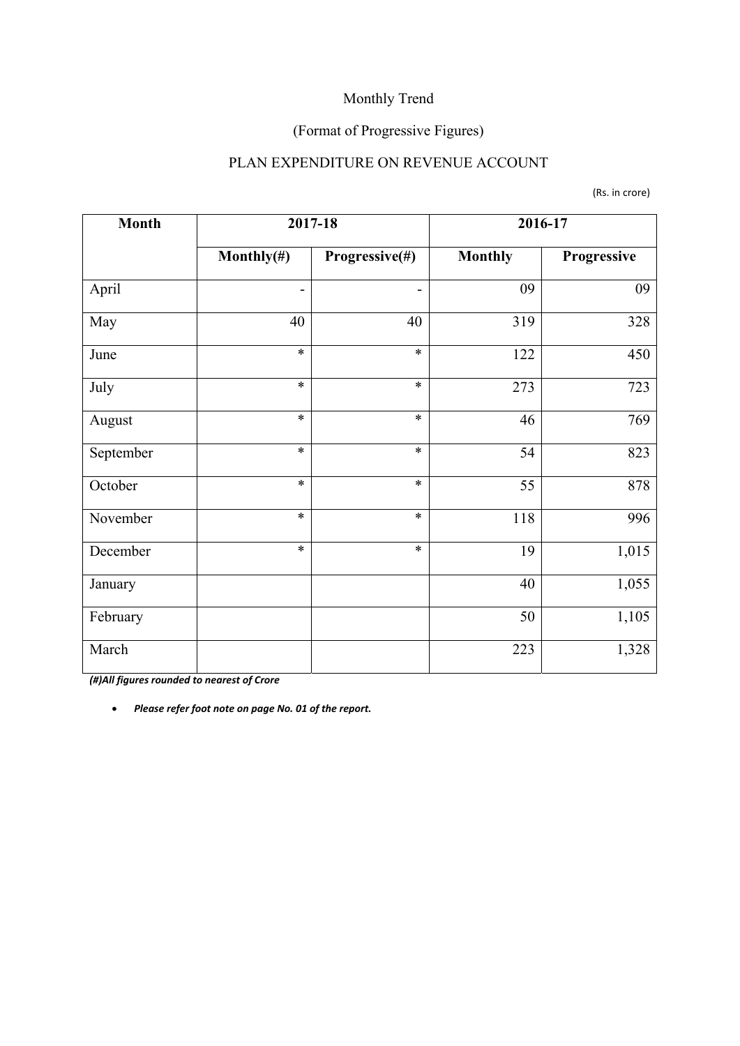## (Format of Progressive Figures)

### PLAN EXPENDITURE ON REVENUE ACCOUNT

|  | (Rs. in crore) |
|--|----------------|
|--|----------------|

| <b>Month</b> |                              | 2017-18        |                | 2016-17     |
|--------------|------------------------------|----------------|----------------|-------------|
|              | Monthly $(\#)$               | Progressive(#) | <b>Monthly</b> | Progressive |
| April        | $\qquad \qquad \blacksquare$ |                | 09             | 09          |
| May          | 40                           | 40             | 319            | 328         |
| June         | $\ast$                       | $\ast$         | 122            | 450         |
| July         | $\ast$                       | $\ast$         | 273            | 723         |
| August       | $\ast$                       | $\ast$         | 46             | 769         |
| September    | $\ast$                       | $\ast$         | 54             | 823         |
| October      | $\ast$                       | $\ast$         | 55             | 878         |
| November     | $\ast$                       | $\ast$         | 118            | 996         |
| December     | $\ast$                       | $\ast$         | 19             | 1,015       |
| January      |                              |                | 40             | 1,055       |
| February     |                              |                | 50             | 1,105       |
| March        |                              |                | 223            | 1,328       |

*(#)All figures rounded to nearest of Crore*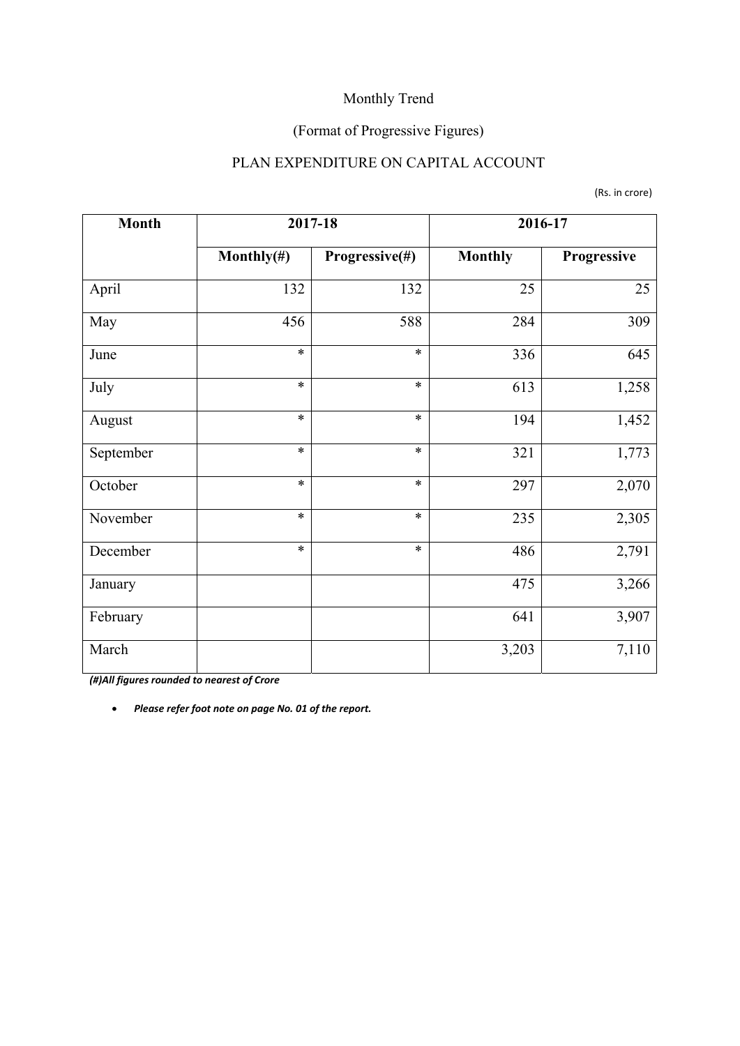#### (Format of Progressive Figures)

### PLAN EXPENDITURE ON CAPITAL ACCOUNT

(Rs. in crore)

| <b>Month</b> |                | 2017-18        | 2016-17        |             |  |
|--------------|----------------|----------------|----------------|-------------|--|
|              | Monthly $(\#)$ | Progressive(#) | <b>Monthly</b> | Progressive |  |
| April        | 132            | 132            | 25             | 25          |  |
| May          | 456            | 588            | 284            | 309         |  |
| June         | $\ast$         | $\ast$         | 336            | 645         |  |
| July         | $\ast$         | $\ast$         | 613            | 1,258       |  |
| August       | $\ast$         | $\ast$         | 194            | 1,452       |  |
| September    | $\ast$         | $\ast$         | 321            | 1,773       |  |
| October      | $\ast$         | $\ast$         | 297            | 2,070       |  |
| November     | $\ast$         | $\ast$         | 235            | 2,305       |  |
| December     | $\ast$         | $\ast$         | 486            | 2,791       |  |
| January      |                |                | 475            | 3,266       |  |
| February     |                |                | 641            | 3,907       |  |
| March        |                |                | 3,203          | 7,110       |  |

*(#)All figures rounded to nearest of Crore*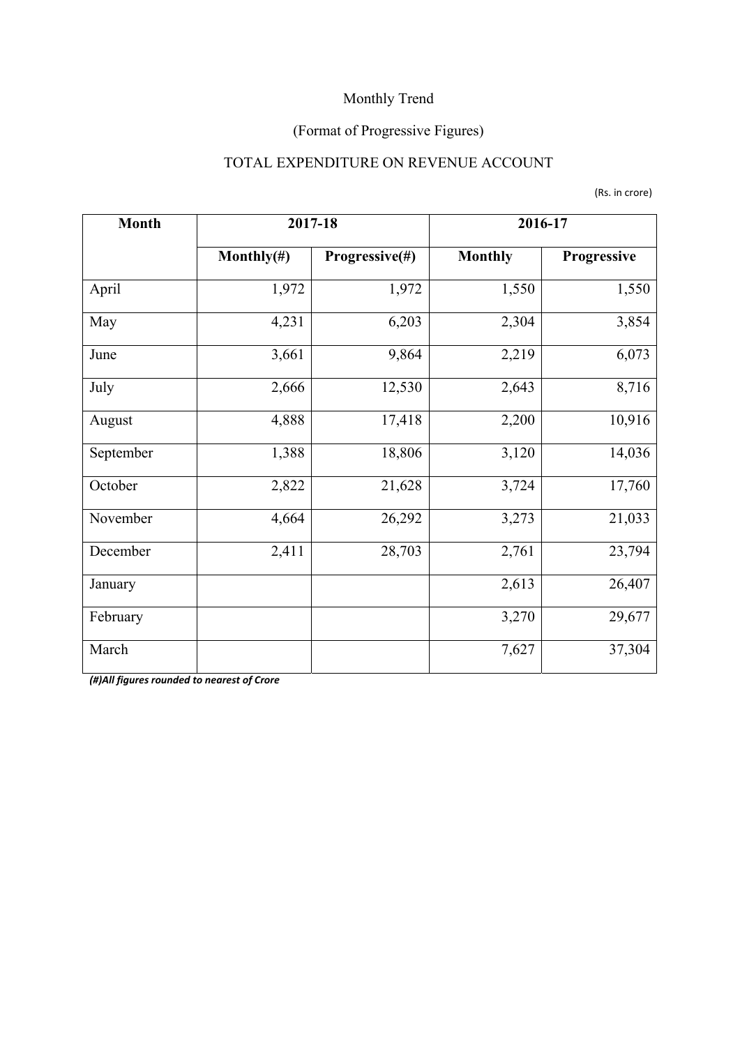## (Format of Progressive Figures)

### TOTAL EXPENDITURE ON REVENUE ACCOUNT

|  | (Rs. in crore) |
|--|----------------|
|--|----------------|

| <b>Month</b> | 2017-18        |                | 2016-17        |             |  |
|--------------|----------------|----------------|----------------|-------------|--|
|              | Monthly $(\#)$ | Progressive(#) | <b>Monthly</b> | Progressive |  |
| April        | 1,972          | 1,972          | 1,550          | 1,550       |  |
| May          | 4,231          |                | 2,304          | 3,854       |  |
| June         | 3,661          | 9,864          | 2,219          | 6,073       |  |
| July         | 2,666          | 12,530         | 2,643          | 8,716       |  |
| August       | 4,888          | 17,418         | 2,200          | 10,916      |  |
| September    | 1,388          | 18,806         | 3,120          | 14,036      |  |
| October      | 2,822          | 21,628         | 3,724          | 17,760      |  |
| November     | 4,664          | 26,292         | 3,273          | 21,033      |  |
| December     | 2,411          | 28,703         | 2,761          | 23,794      |  |
| January      |                |                | 2,613          | 26,407      |  |
| February     |                |                | 3,270          | 29,677      |  |
| March        |                |                | 7,627          | 37,304      |  |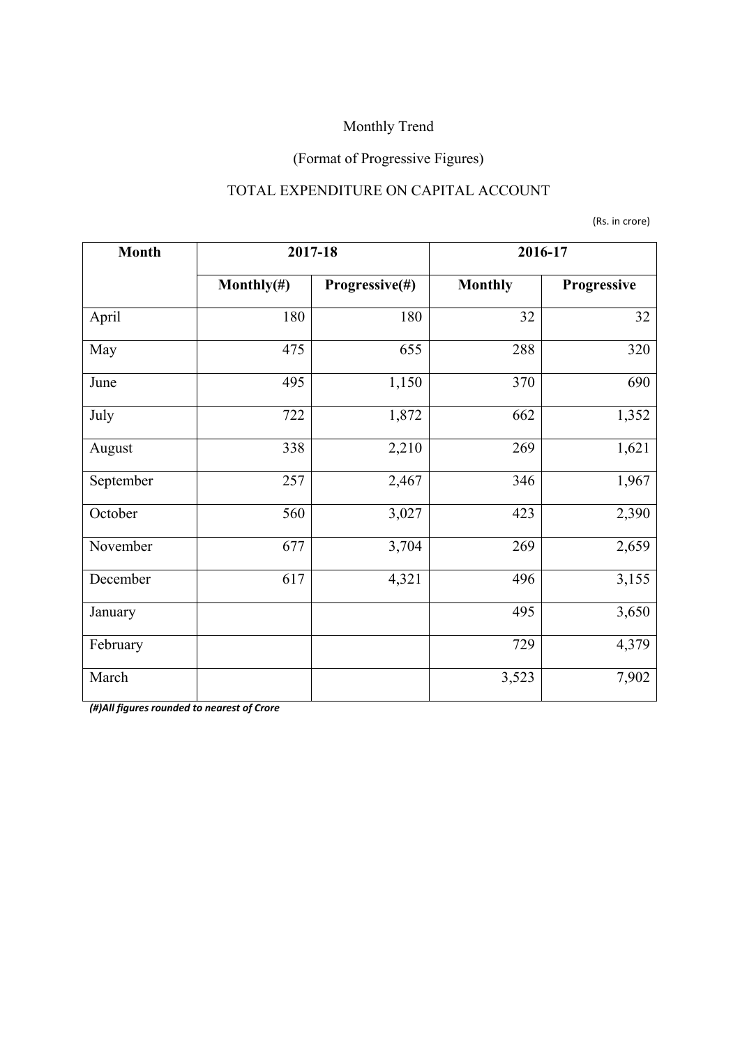# (Format of Progressive Figures)

### TOTAL EXPENDITURE ON CAPITAL ACCOUNT

(Rs. in crore)

| <b>Month</b> | 2017-18        |                | 2016-17        |             |  |
|--------------|----------------|----------------|----------------|-------------|--|
|              | Monthly $(\#)$ | Progressive(#) | <b>Monthly</b> | Progressive |  |
| April        | 180            | 180            | 32             | 32          |  |
| May          | 475            | 655            | 288            | 320         |  |
| June         | 495            | 1,150          | 370            | 690         |  |
| July         | 722            | 1,872          | 662            | 1,352       |  |
| August       | 338            | 2,210          | 269            | 1,621       |  |
| September    | 257            | 2,467          | 346            | 1,967       |  |
| October      | 560            | 3,027          | 423            | 2,390       |  |
| November     | 677            | 3,704          | 269            | 2,659       |  |
| December     | 617            | 4,321          | 496            | 3,155       |  |
| January      |                |                | 495            | 3,650       |  |
| February     |                |                | 729            | 4,379       |  |
| March        |                |                | 3,523          | 7,902       |  |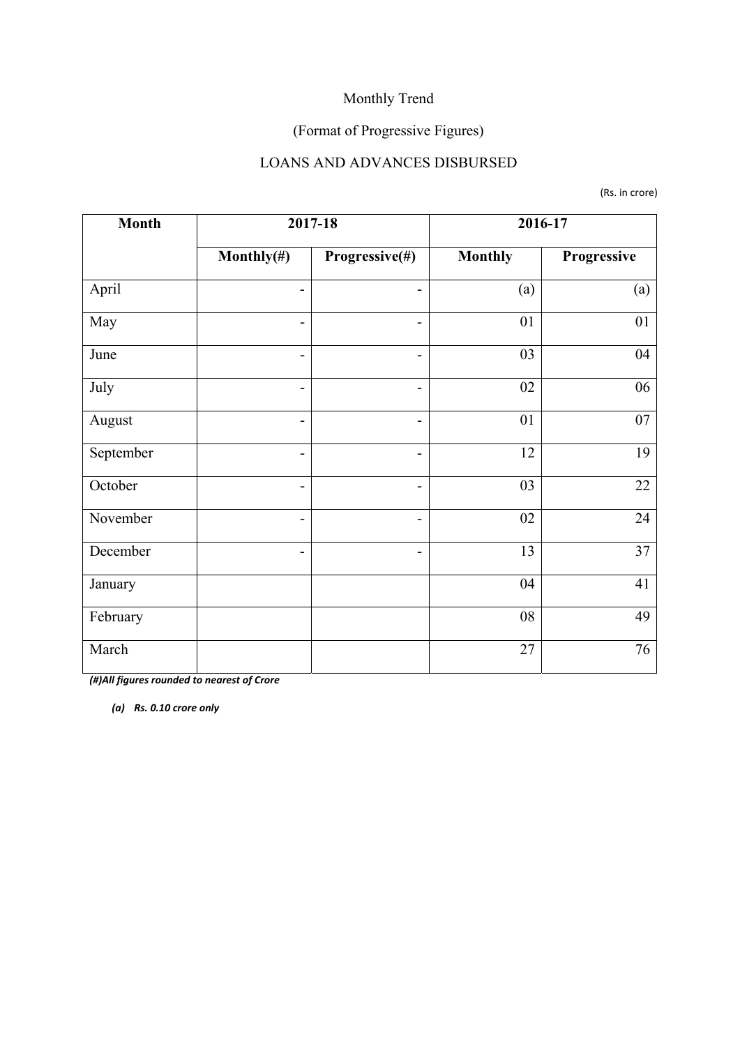## (Format of Progressive Figures)

#### LOANS AND ADVANCES DISBURSED

(Rs. in crore)

| <b>Month</b> | 2017-18                      |                | 2016-17        |             |  |
|--------------|------------------------------|----------------|----------------|-------------|--|
|              | Monthly $(\#)$               | Progressive(#) | <b>Monthly</b> | Progressive |  |
| April        | -                            |                | (a)            | (a)         |  |
| May          | $\overline{a}$               | -              | 01             | 01          |  |
| June         | $\overline{\phantom{0}}$     | Ξ.             | 03             | 04          |  |
| July         | -                            | ۳              | 02             | 06          |  |
| August       | $\overline{\phantom{0}}$     | -              | 01             | $07\,$      |  |
| September    | $\overline{\phantom{0}}$     | ÷              | 12             | 19          |  |
| October      | $\qquad \qquad \blacksquare$ | -              | 03             | 22          |  |
| November     | -                            | -              | 02             | 24          |  |
| December     | -                            | -              | 13             | 37          |  |
| January      |                              |                | 04             | 41          |  |
| February     |                              |                | 08             | 49          |  |
| March        |                              |                | 27             | 76          |  |

*(#)All figures rounded to nearest of Crore*

*(a) Rs. 0.10 crore only*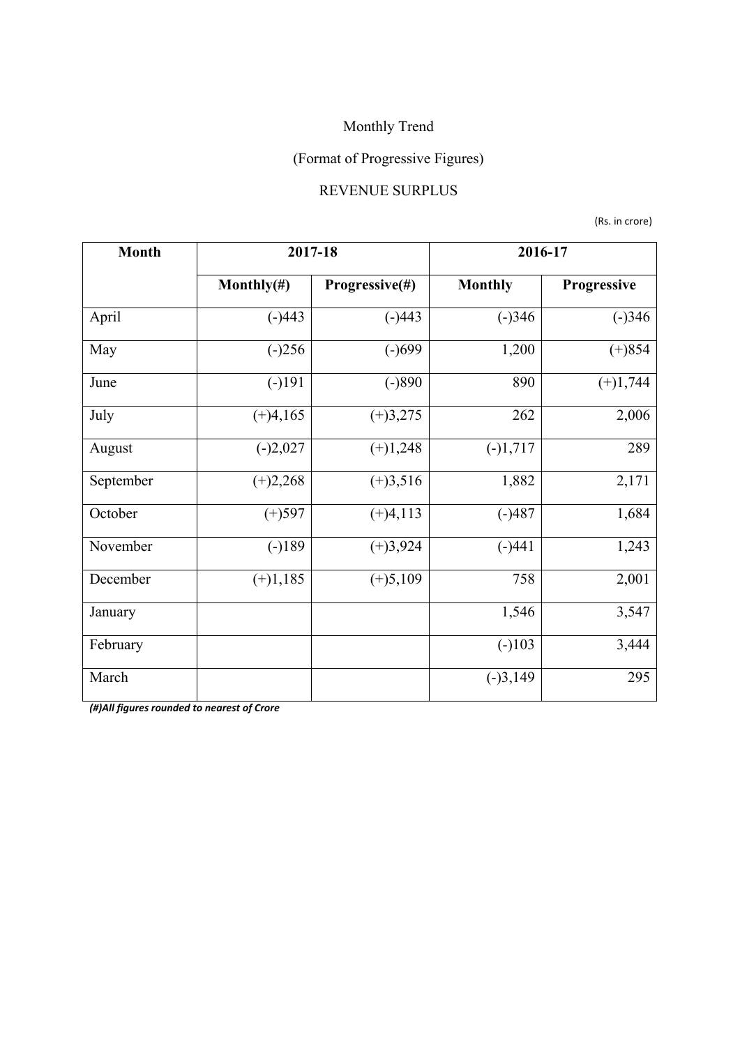# (Format of Progressive Figures)

#### REVENUE SURPLUS

(Rs. in crore)

| <b>Month</b> | 2017-18        |                | 2016-17        |             |  |
|--------------|----------------|----------------|----------------|-------------|--|
|              | Monthly $(\#)$ | Progressive(#) | <b>Monthly</b> | Progressive |  |
| April        | $(-)443$       | $(-)443$       | $(-)346$       | $(-)346$    |  |
| May          | $(-)256$       | $(-)699$       | 1,200          | $(+)854$    |  |
| June         | $(-)191$       | $(-)890$       | 890            | $(+)1,744$  |  |
| July         | $(+)4,165$     | $(+)3,275$     | 262            | 2,006       |  |
| August       | $(-)2,027$     | $(+)1,248$     | $(-)1,717$     | 289         |  |
| September    | $(+)2,268$     | $(+)3,516$     | 1,882          | 2,171       |  |
| October      | $(+)597$       | $(+)4,113$     | $(-)487$       | 1,684       |  |
| November     | $(-)189$       | $(+)3,924$     | $(-)441$       | 1,243       |  |
| December     | $(+)1,185$     | $(+)5,109$     | 758            | 2,001       |  |
| January      |                |                | 1,546          | 3,547       |  |
| February     |                |                | $(-)103$       | 3,444       |  |
| March        |                |                | $(-)3,149$     | 295         |  |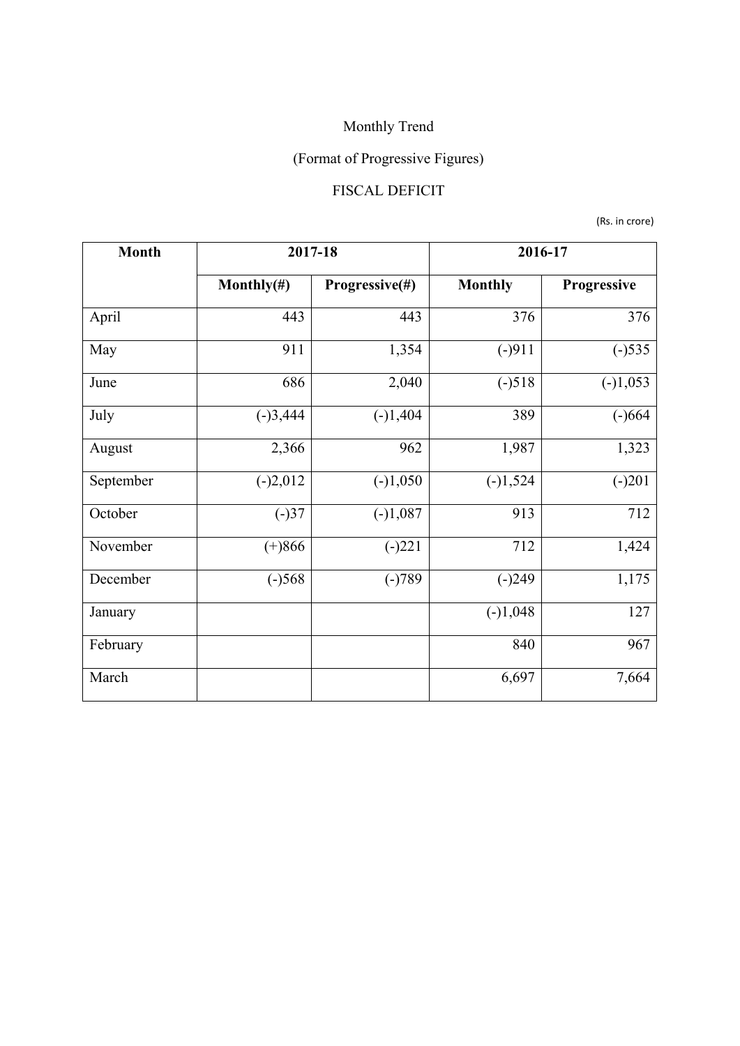# (Format of Progressive Figures)

## FISCAL DEFICIT

(Rs. in crore)

| <b>Month</b> | 2017-18        |                | 2016-17        |             |  |
|--------------|----------------|----------------|----------------|-------------|--|
|              | Monthly $(\#)$ | Progressive(#) | <b>Monthly</b> | Progressive |  |
| April        | 443            | 443            | 376            | 376         |  |
| May          | 911            | 1,354          | $(-)911$       | $(-)535$    |  |
| June         | 686            | 2,040          | $(-)518$       | $(-)1,053$  |  |
| July         | $(-)3,444$     | $(-)1,404$     | 389            | $(-)664$    |  |
| August       | 2,366          | 962            | 1,987          | 1,323       |  |
| September    | $(-)2,012$     | $(-)1,050$     | $(-)1,524$     | $(-)201$    |  |
| October      | $(-)37$        | $(-)1,087$     | 913            | 712         |  |
| November     | $(+)866$       | $(-)221$       | 712            | 1,424       |  |
| December     | $(-)568$       | $(-)789$       | $(-)249$       | 1,175       |  |
| January      |                |                | $(-)1,048$     | 127         |  |
| February     |                |                | 840            | 967         |  |
| March        |                |                | 6,697          | 7,664       |  |